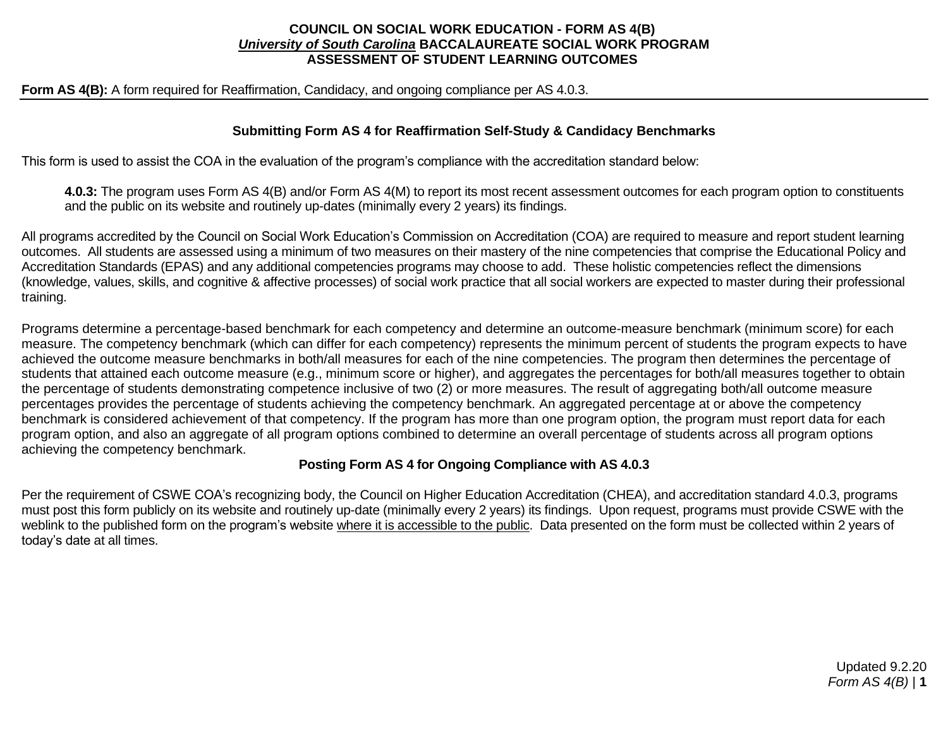#### **COUNCIL ON SOCIAL WORK EDUCATION - FORM AS 4(B)** *University of South Carolina* **BACCALAUREATE SOCIAL WORK PROGRAM ASSESSMENT OF STUDENT LEARNING OUTCOMES**

**Form AS 4(B):** A form required for Reaffirmation, Candidacy, and ongoing compliance per AS 4.0.3.

#### **Submitting Form AS 4 for Reaffirmation Self-Study & Candidacy Benchmarks**

This form is used to assist the COA in the evaluation of the program's compliance with the accreditation standard below:

**4.0.3:** The program uses Form AS 4(B) and/or Form AS 4(M) to report its most recent assessment outcomes for each program option to constituents and the public on its website and routinely up-dates (minimally every 2 years) its findings.

All programs accredited by the Council on Social Work Education's Commission on Accreditation (COA) are required to measure and report student learning outcomes. All students are assessed using a minimum of two measures on their mastery of the nine competencies that comprise the Educational Policy and Accreditation Standards (EPAS) and any additional competencies programs may choose to add. These holistic competencies reflect the dimensions (knowledge, values, skills, and cognitive & affective processes) of social work practice that all social workers are expected to master during their professional training.

Programs determine a percentage-based benchmark for each competency and determine an outcome-measure benchmark (minimum score) for each measure. The competency benchmark (which can differ for each competency) represents the minimum percent of students the program expects to have achieved the outcome measure benchmarks in both/all measures for each of the nine competencies. The program then determines the percentage of students that attained each outcome measure (e.g., minimum score or higher), and aggregates the percentages for both/all measures together to obtain the percentage of students demonstrating competence inclusive of two (2) or more measures. The result of aggregating both/all outcome measure percentages provides the percentage of students achieving the competency benchmark. An aggregated percentage at or above the competency benchmark is considered achievement of that competency. If the program has more than one program option, the program must report data for each program option, and also an aggregate of all program options combined to determine an overall percentage of students across all program options achieving the competency benchmark.

### **Posting Form AS 4 for Ongoing Compliance with AS 4.0.3**

Per the requirement of CSWE COA's recognizing body, the Council on Higher Education Accreditation (CHEA), and accreditation standard 4.0.3, programs must post this form publicly on its website and routinely up-date (minimally every 2 years) its findings. Upon request, programs must provide CSWE with the weblink to the published form on the program's website where it is accessible to the public. Data presented on the form must be collected within 2 years of today's date at all times.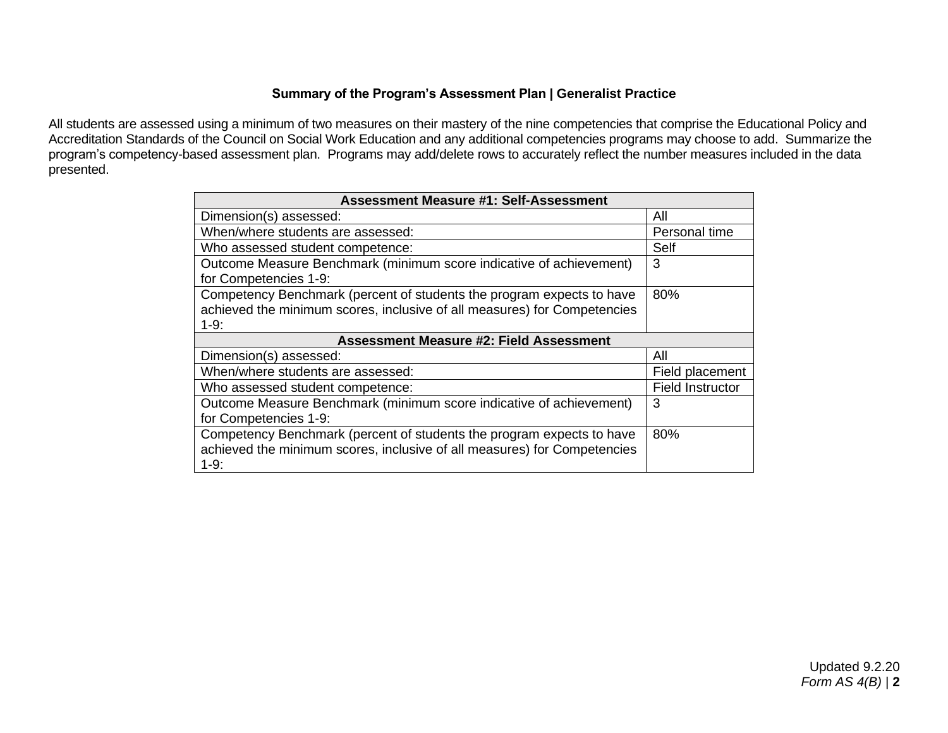## **Summary of the Program's Assessment Plan | Generalist Practice**

All students are assessed using a minimum of two measures on their mastery of the nine competencies that comprise the Educational Policy and Accreditation Standards of the Council on Social Work Education and any additional competencies programs may choose to add. Summarize the program's competency-based assessment plan. Programs may add/delete rows to accurately reflect the number measures included in the data presented.

| <b>Assessment Measure #1: Self-Assessment</b>                                                                                                                 |                         |  |  |  |  |
|---------------------------------------------------------------------------------------------------------------------------------------------------------------|-------------------------|--|--|--|--|
| Dimension(s) assessed:                                                                                                                                        | All                     |  |  |  |  |
| When/where students are assessed:                                                                                                                             | Personal time           |  |  |  |  |
| Who assessed student competence:                                                                                                                              | Self                    |  |  |  |  |
| Outcome Measure Benchmark (minimum score indicative of achievement)<br>for Competencies 1-9:                                                                  | 3                       |  |  |  |  |
| Competency Benchmark (percent of students the program expects to have<br>achieved the minimum scores, inclusive of all measures) for Competencies<br>$1 - 9:$ | 80%                     |  |  |  |  |
| <b>Assessment Measure #2: Field Assessment</b>                                                                                                                |                         |  |  |  |  |
| Dimension(s) assessed:                                                                                                                                        | All                     |  |  |  |  |
| When/where students are assessed:                                                                                                                             | Field placement         |  |  |  |  |
| Who assessed student competence:                                                                                                                              | <b>Field Instructor</b> |  |  |  |  |
| Outcome Measure Benchmark (minimum score indicative of achievement)<br>for Competencies 1-9:                                                                  | 3                       |  |  |  |  |
| Competency Benchmark (percent of students the program expects to have<br>achieved the minimum scores, inclusive of all measures) for Competencies<br>$1-9.$   | 80%                     |  |  |  |  |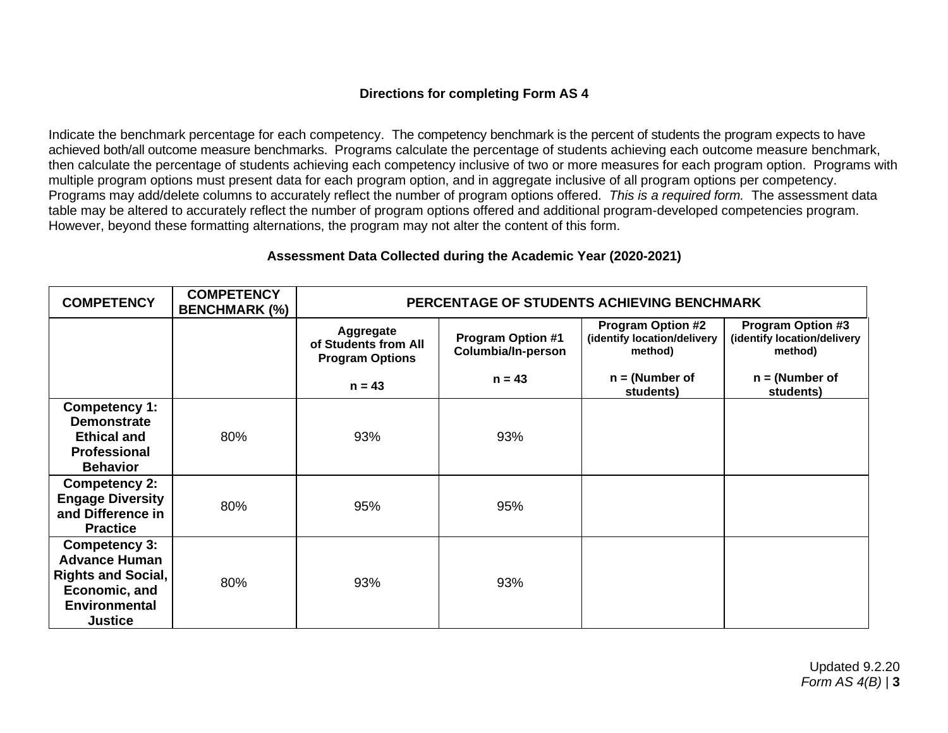# **Directions for completing Form AS 4**

Indicate the benchmark percentage for each competency. The competency benchmark is the percent of students the program expects to have achieved both/all outcome measure benchmarks. Programs calculate the percentage of students achieving each outcome measure benchmark, then calculate the percentage of students achieving each competency inclusive of two or more measures for each program option. Programs with multiple program options must present data for each program option, and in aggregate inclusive of all program options per competency. Programs may add/delete columns to accurately reflect the number of program options offered. *This is a required form.* The assessment data table may be altered to accurately reflect the number of program options offered and additional program-developed competencies program. However, beyond these formatting alternations, the program may not alter the content of this form.

| <b>COMPETENCY</b>                                                                                                                    | <b>COMPETENCY</b><br><b>BENCHMARK (%)</b> | PERCENTAGE OF STUDENTS ACHIEVING BENCHMARK                         |                                                |                                                                    |                                                                    |  |  |
|--------------------------------------------------------------------------------------------------------------------------------------|-------------------------------------------|--------------------------------------------------------------------|------------------------------------------------|--------------------------------------------------------------------|--------------------------------------------------------------------|--|--|
|                                                                                                                                      |                                           | <b>Aggregate</b><br>of Students from All<br><b>Program Options</b> | <b>Program Option #1</b><br>Columbia/In-person | <b>Program Option #2</b><br>(identify location/delivery<br>method) | <b>Program Option #3</b><br>(identify location/delivery<br>method) |  |  |
|                                                                                                                                      |                                           | $n = 43$                                                           | $n = 43$                                       | $n = (Number of$<br>students)                                      | $n = (Number of$<br>students)                                      |  |  |
| Competency 1:<br><b>Demonstrate</b><br><b>Ethical and</b><br><b>Professional</b><br><b>Behavior</b>                                  | 80%                                       | 93%                                                                | 93%                                            |                                                                    |                                                                    |  |  |
| <b>Competency 2:</b><br><b>Engage Diversity</b><br>and Difference in<br><b>Practice</b>                                              | 80%                                       | 95%                                                                | 95%                                            |                                                                    |                                                                    |  |  |
| <b>Competency 3:</b><br><b>Advance Human</b><br><b>Rights and Social,</b><br>Economic, and<br><b>Environmental</b><br><b>Justice</b> | 80%                                       | 93%                                                                | 93%                                            |                                                                    |                                                                    |  |  |

### **Assessment Data Collected during the Academic Year (2020-2021)**

Updated 9.2.20 *Form AS 4(B)* | **3**